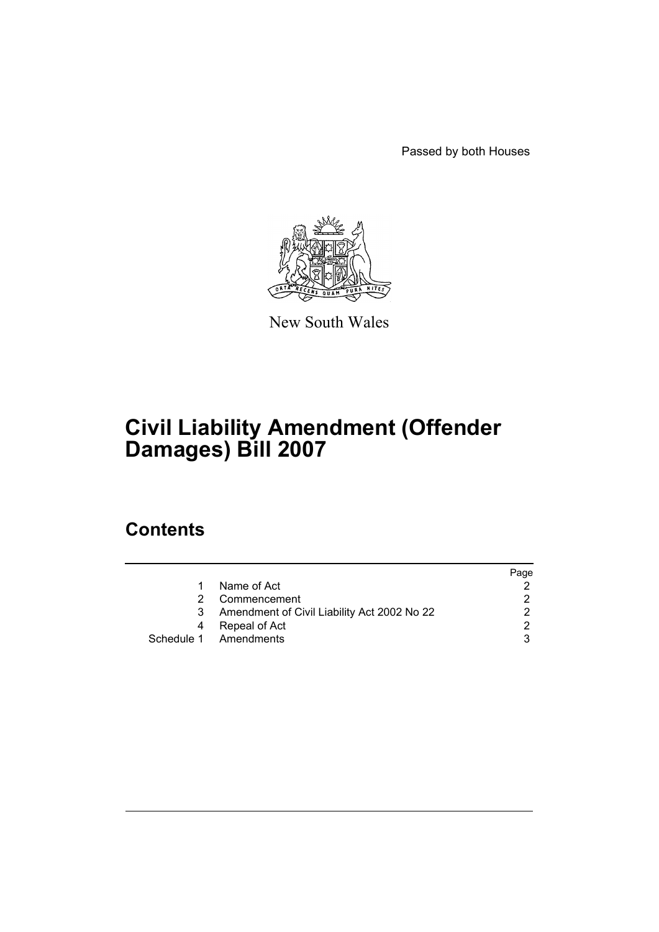Passed by both Houses



New South Wales

# **Civil Liability Amendment (Offender Damages) Bill 2007**

## **Contents**

|   |                                             | Page |
|---|---------------------------------------------|------|
|   | Name of Act                                 |      |
|   | Commencement                                |      |
| 3 | Amendment of Civil Liability Act 2002 No 22 | າ    |
| 4 | Repeal of Act                               | ົ    |
|   | Schedule 1 Amendments                       |      |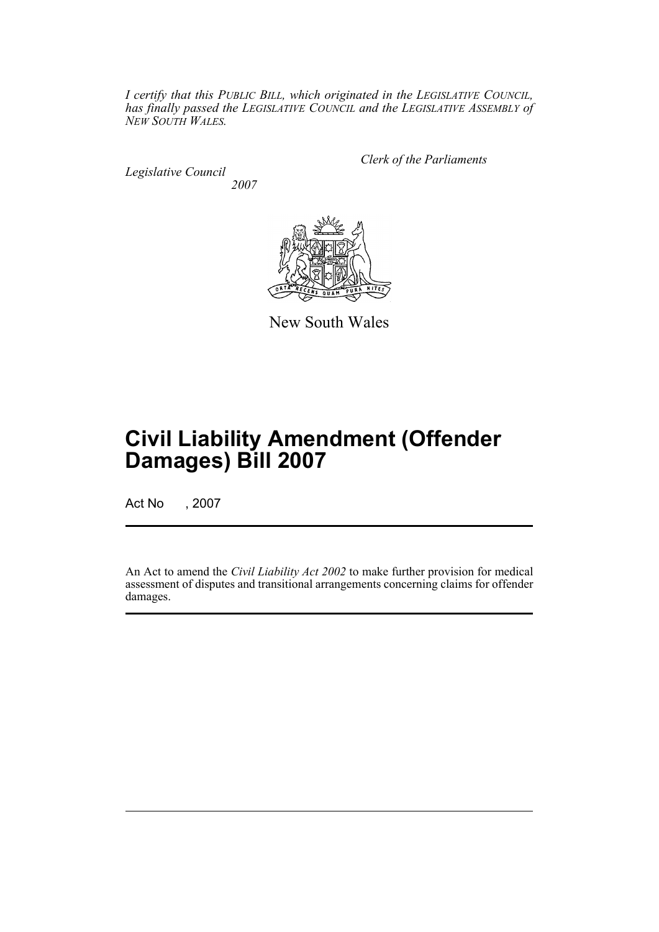*I certify that this PUBLIC BILL, which originated in the LEGISLATIVE COUNCIL, has finally passed the LEGISLATIVE COUNCIL and the LEGISLATIVE ASSEMBLY of NEW SOUTH WALES.*

*Legislative Council 2007* *Clerk of the Parliaments*



New South Wales

# **Civil Liability Amendment (Offender Damages) Bill 2007**

Act No , 2007

An Act to amend the *Civil Liability Act 2002* to make further provision for medical assessment of disputes and transitional arrangements concerning claims for offender damages.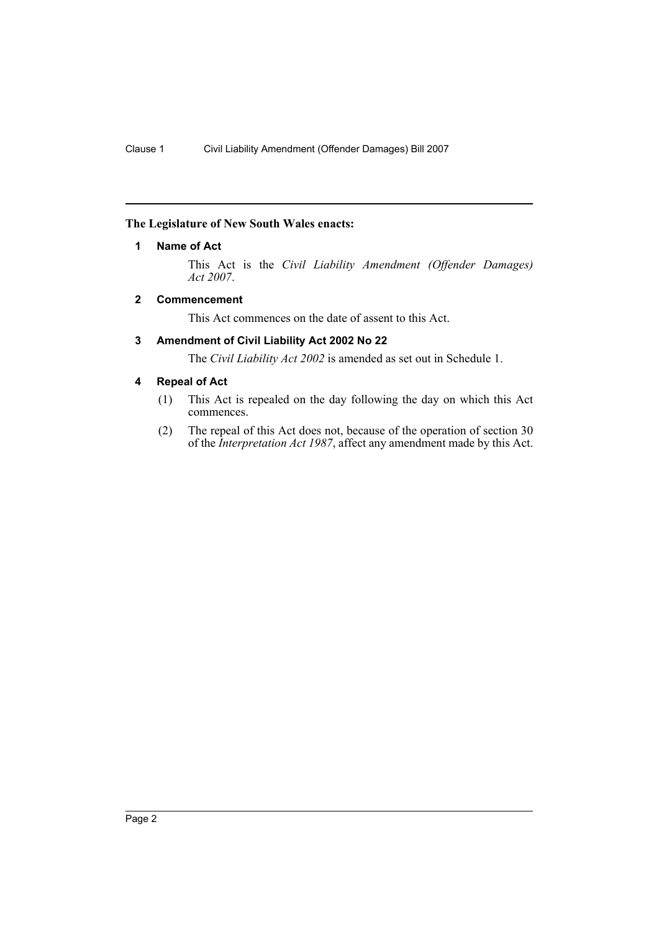#### <span id="page-2-0"></span>**The Legislature of New South Wales enacts:**

#### **1 Name of Act**

This Act is the *Civil Liability Amendment (Offender Damages) Act 2007*.

#### <span id="page-2-1"></span>**2 Commencement**

This Act commences on the date of assent to this Act.

#### <span id="page-2-2"></span>**3 Amendment of Civil Liability Act 2002 No 22**

The *Civil Liability Act 2002* is amended as set out in Schedule 1.

#### <span id="page-2-3"></span>**4 Repeal of Act**

- (1) This Act is repealed on the day following the day on which this Act commences.
- (2) The repeal of this Act does not, because of the operation of section 30 of the *Interpretation Act 1987*, affect any amendment made by this Act.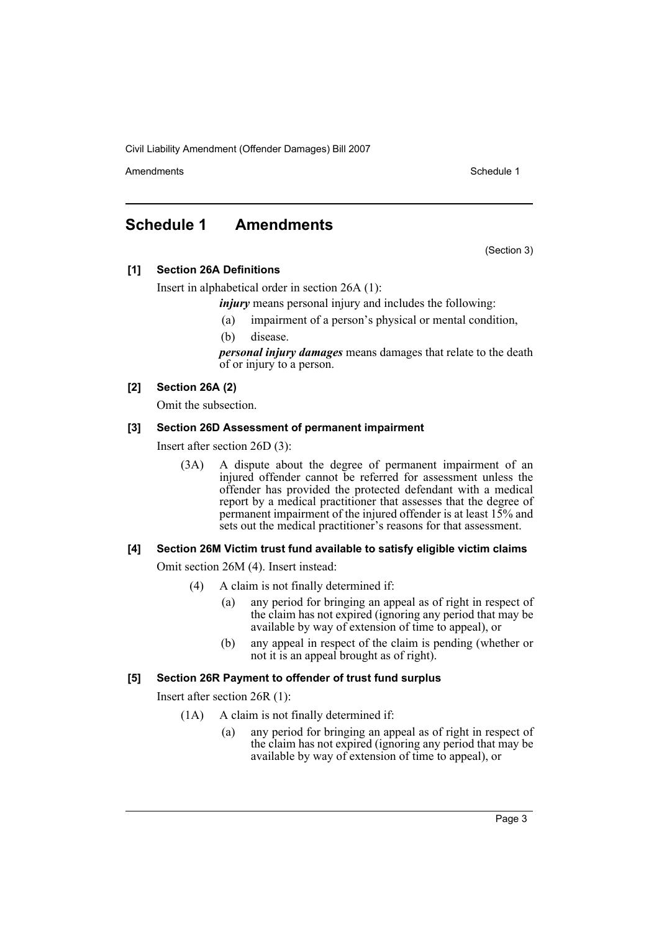Amendments **Amendments** Schedule 1

### <span id="page-3-0"></span>**Schedule 1 Amendments**

(Section 3)

**[1] Section 26A Definitions**

Insert in alphabetical order in section 26A (1):

*injury* means personal injury and includes the following:

- (a) impairment of a person's physical or mental condition,
- (b) disease.

*personal injury damages* means damages that relate to the death of or injury to a person.

#### **[2] Section 26A (2)**

Omit the subsection.

#### **[3] Section 26D Assessment of permanent impairment**

Insert after section 26D (3):

(3A) A dispute about the degree of permanent impairment of an injured offender cannot be referred for assessment unless the offender has provided the protected defendant with a medical report by a medical practitioner that assesses that the degree of permanent impairment of the injured offender is at least 15% and sets out the medical practitioner's reasons for that assessment.

#### **[4] Section 26M Victim trust fund available to satisfy eligible victim claims**

Omit section 26M (4). Insert instead:

- (4) A claim is not finally determined if:
	- (a) any period for bringing an appeal as of right in respect of the claim has not expired (ignoring any period that may be available by way of extension of time to appeal), or
	- (b) any appeal in respect of the claim is pending (whether or not it is an appeal brought as of right).

#### **[5] Section 26R Payment to offender of trust fund surplus**

Insert after section 26R (1):

- (1A) A claim is not finally determined if:
	- (a) any period for bringing an appeal as of right in respect of the claim has not expired (ignoring any period that may be available by way of extension of time to appeal), or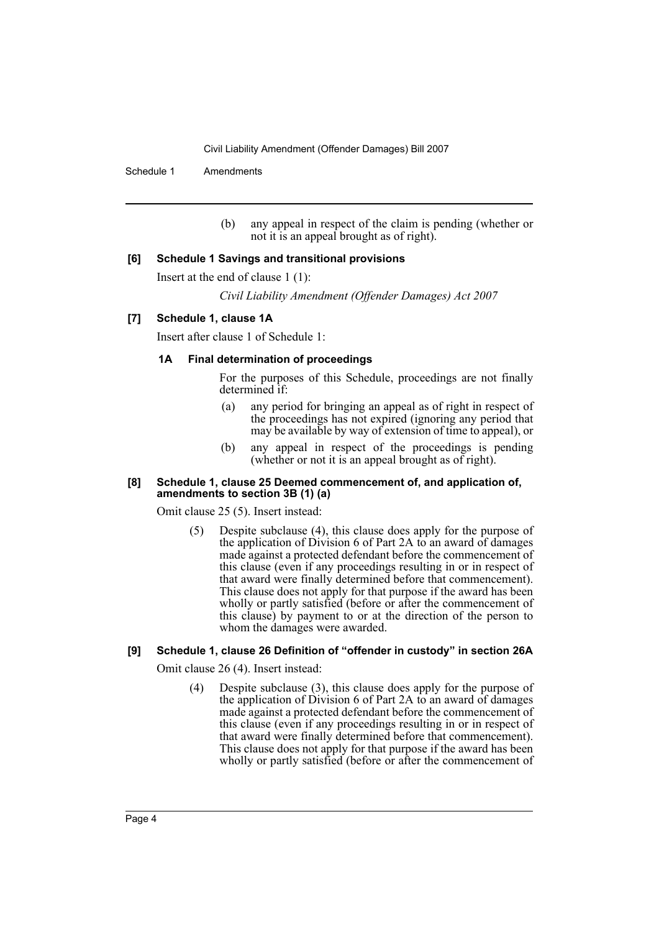Schedule 1 Amendments

(b) any appeal in respect of the claim is pending (whether or not it is an appeal brought as of right).

#### **[6] Schedule 1 Savings and transitional provisions**

Insert at the end of clause 1 (1):

*Civil Liability Amendment (Offender Damages) Act 2007*

#### **[7] Schedule 1, clause 1A**

Insert after clause 1 of Schedule 1:

#### **1A Final determination of proceedings**

For the purposes of this Schedule, proceedings are not finally determined if:

- (a) any period for bringing an appeal as of right in respect of the proceedings has not expired (ignoring any period that may be available by way of extension of time to appeal), or
- (b) any appeal in respect of the proceedings is pending (whether or not it is an appeal brought as of right).

#### **[8] Schedule 1, clause 25 Deemed commencement of, and application of, amendments to section 3B (1) (a)**

Omit clause 25 (5). Insert instead:

(5) Despite subclause (4), this clause does apply for the purpose of the application of Division 6 of Part 2A to an award of damages made against a protected defendant before the commencement of this clause (even if any proceedings resulting in or in respect of that award were finally determined before that commencement). This clause does not apply for that purpose if the award has been wholly or partly satisfied (before or after the commencement of this clause) by payment to or at the direction of the person to whom the damages were awarded.

#### **[9] Schedule 1, clause 26 Definition of "offender in custody" in section 26A**

Omit clause 26 (4). Insert instead:

(4) Despite subclause (3), this clause does apply for the purpose of the application of Division 6 of Part 2A to an award of damages made against a protected defendant before the commencement of this clause (even if any proceedings resulting in or in respect of that award were finally determined before that commencement). This clause does not apply for that purpose if the award has been wholly or partly satisfied (before or after the commencement of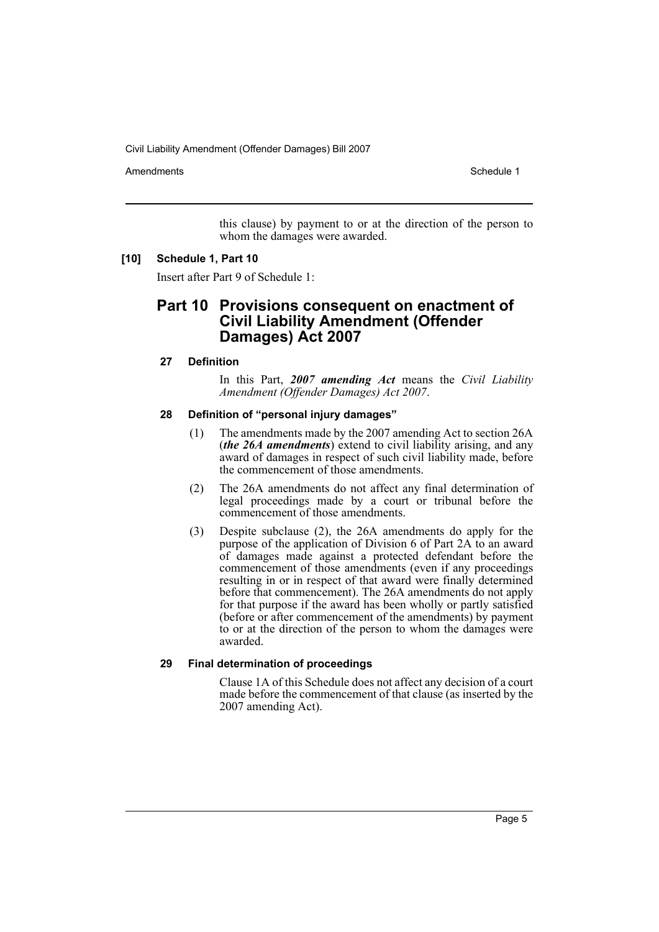Amendments **Amendments** Schedule 1

this clause) by payment to or at the direction of the person to whom the damages were awarded.

#### **[10] Schedule 1, Part 10**

Insert after Part 9 of Schedule 1:

### **Part 10 Provisions consequent on enactment of Civil Liability Amendment (Offender Damages) Act 2007**

#### **27 Definition**

In this Part, *2007 amending Act* means the *Civil Liability Amendment (Offender Damages) Act 2007*.

#### **28 Definition of "personal injury damages"**

- (1) The amendments made by the 2007 amending Act to section 26A (*the 26A amendments*) extend to civil liability arising, and any award of damages in respect of such civil liability made, before the commencement of those amendments.
- (2) The 26A amendments do not affect any final determination of legal proceedings made by a court or tribunal before the commencement of those amendments.
- (3) Despite subclause (2), the 26A amendments do apply for the purpose of the application of Division 6 of Part 2A to an award of damages made against a protected defendant before the commencement of those amendments (even if any proceedings resulting in or in respect of that award were finally determined before that commencement). The 26A amendments do not apply for that purpose if the award has been wholly or partly satisfied (before or after commencement of the amendments) by payment to or at the direction of the person to whom the damages were awarded.

#### **29 Final determination of proceedings**

Clause 1A of this Schedule does not affect any decision of a court made before the commencement of that clause (as inserted by the 2007 amending Act).